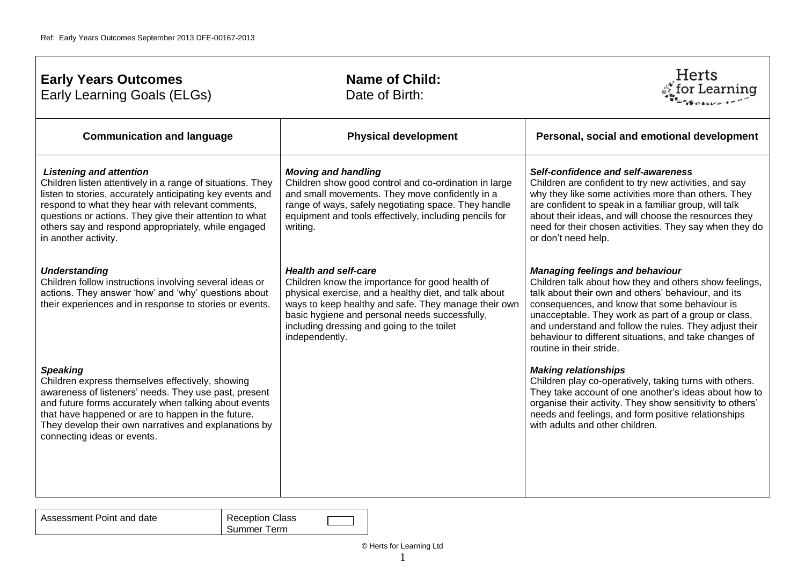$\Gamma$ 

| <b>Early Years Outcomes</b><br>Early Learning Goals (ELGs)                                                                                                                                                                                                                                                                                               | <b>Name of Child:</b><br>Date of Birth:                                                                                                                                                                                                                                                                           |                                                                                                                                                                                                                                                                                                                                                                                                                  |
|----------------------------------------------------------------------------------------------------------------------------------------------------------------------------------------------------------------------------------------------------------------------------------------------------------------------------------------------------------|-------------------------------------------------------------------------------------------------------------------------------------------------------------------------------------------------------------------------------------------------------------------------------------------------------------------|------------------------------------------------------------------------------------------------------------------------------------------------------------------------------------------------------------------------------------------------------------------------------------------------------------------------------------------------------------------------------------------------------------------|
| <b>Communication and language</b>                                                                                                                                                                                                                                                                                                                        | <b>Physical development</b>                                                                                                                                                                                                                                                                                       | Personal, social and emotional development                                                                                                                                                                                                                                                                                                                                                                       |
| <b>Listening and attention</b><br>Children listen attentively in a range of situations. They<br>listen to stories, accurately anticipating key events and<br>respond to what they hear with relevant comments,<br>questions or actions. They give their attention to what<br>others say and respond appropriately, while engaged<br>in another activity. | <b>Moving and handling</b><br>Children show good control and co-ordination in large<br>and small movements. They move confidently in a<br>range of ways, safely negotiating space. They handle<br>equipment and tools effectively, including pencils for<br>writing.                                              | Self-confidence and self-awareness<br>Children are confident to try new activities, and say<br>why they like some activities more than others. They<br>are confident to speak in a familiar group, will talk<br>about their ideas, and will choose the resources they<br>need for their chosen activities. They say when they do<br>or don't need help.                                                          |
| <b>Understanding</b><br>Children follow instructions involving several ideas or<br>actions. They answer 'how' and 'why' questions about<br>their experiences and in response to stories or events.                                                                                                                                                       | <b>Health and self-care</b><br>Children know the importance for good health of<br>physical exercise, and a healthy diet, and talk about<br>ways to keep healthy and safe. They manage their own<br>basic hygiene and personal needs successfully,<br>including dressing and going to the toilet<br>independently. | <b>Managing feelings and behaviour</b><br>Children talk about how they and others show feelings,<br>talk about their own and others' behaviour, and its<br>consequences, and know that some behaviour is<br>unacceptable. They work as part of a group or class,<br>and understand and follow the rules. They adjust their<br>behaviour to different situations, and take changes of<br>routine in their stride. |
| <b>Speaking</b><br>Children express themselves effectively, showing<br>awareness of listeners' needs. They use past, present<br>and future forms accurately when talking about events<br>that have happened or are to happen in the future.<br>They develop their own narratives and explanations by<br>connecting ideas or events.                      |                                                                                                                                                                                                                                                                                                                   | <b>Making relationships</b><br>Children play co-operatively, taking turns with others.<br>They take account of one another's ideas about how to<br>organise their activity. They show sensitivity to others'<br>needs and feelings, and form positive relationships<br>with adults and other children.                                                                                                           |

| Assessment Point and date | Reception Class |  |
|---------------------------|-----------------|--|
|                           | Summer Term     |  |